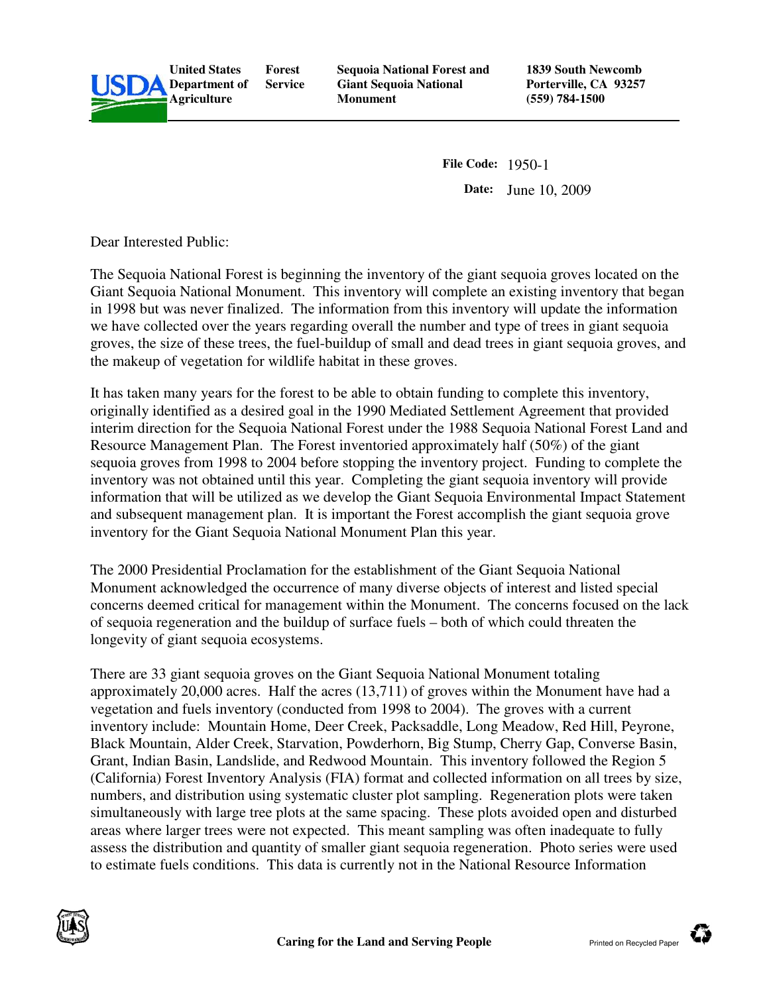

**United States Department of Forest Service** 

**Sequoia National Forest and Giant Sequoia National Monument**

**1839 South Newcomb Porterville, CA 93257 (559) 784-1500** 

**File Code:** 1950-1 **Date:** June 10, 2009

Dear Interested Public:

The Sequoia National Forest is beginning the inventory of the giant sequoia groves located on the Giant Sequoia National Monument. This inventory will complete an existing inventory that began in 1998 but was never finalized. The information from this inventory will update the information we have collected over the years regarding overall the number and type of trees in giant sequoia groves, the size of these trees, the fuel-buildup of small and dead trees in giant sequoia groves, and the makeup of vegetation for wildlife habitat in these groves.

It has taken many years for the forest to be able to obtain funding to complete this inventory, originally identified as a desired goal in the 1990 Mediated Settlement Agreement that provided interim direction for the Sequoia National Forest under the 1988 Sequoia National Forest Land and Resource Management Plan. The Forest inventoried approximately half (50%) of the giant sequoia groves from 1998 to 2004 before stopping the inventory project. Funding to complete the inventory was not obtained until this year. Completing the giant sequoia inventory will provide information that will be utilized as we develop the Giant Sequoia Environmental Impact Statement and subsequent management plan. It is important the Forest accomplish the giant sequoia grove inventory for the Giant Sequoia National Monument Plan this year.

The 2000 Presidential Proclamation for the establishment of the Giant Sequoia National Monument acknowledged the occurrence of many diverse objects of interest and listed special concerns deemed critical for management within the Monument. The concerns focused on the lack of sequoia regeneration and the buildup of surface fuels – both of which could threaten the longevity of giant sequoia ecosystems.

There are 33 giant sequoia groves on the Giant Sequoia National Monument totaling approximately 20,000 acres. Half the acres (13,711) of groves within the Monument have had a vegetation and fuels inventory (conducted from 1998 to 2004). The groves with a current inventory include: Mountain Home, Deer Creek, Packsaddle, Long Meadow, Red Hill, Peyrone, Black Mountain, Alder Creek, Starvation, Powderhorn, Big Stump, Cherry Gap, Converse Basin, Grant, Indian Basin, Landslide, and Redwood Mountain. This inventory followed the Region 5 (California) Forest Inventory Analysis (FIA) format and collected information on all trees by size, numbers, and distribution using systematic cluster plot sampling. Regeneration plots were taken simultaneously with large tree plots at the same spacing. These plots avoided open and disturbed areas where larger trees were not expected. This meant sampling was often inadequate to fully assess the distribution and quantity of smaller giant sequoia regeneration. Photo series were used to estimate fuels conditions. This data is currently not in the National Resource Information



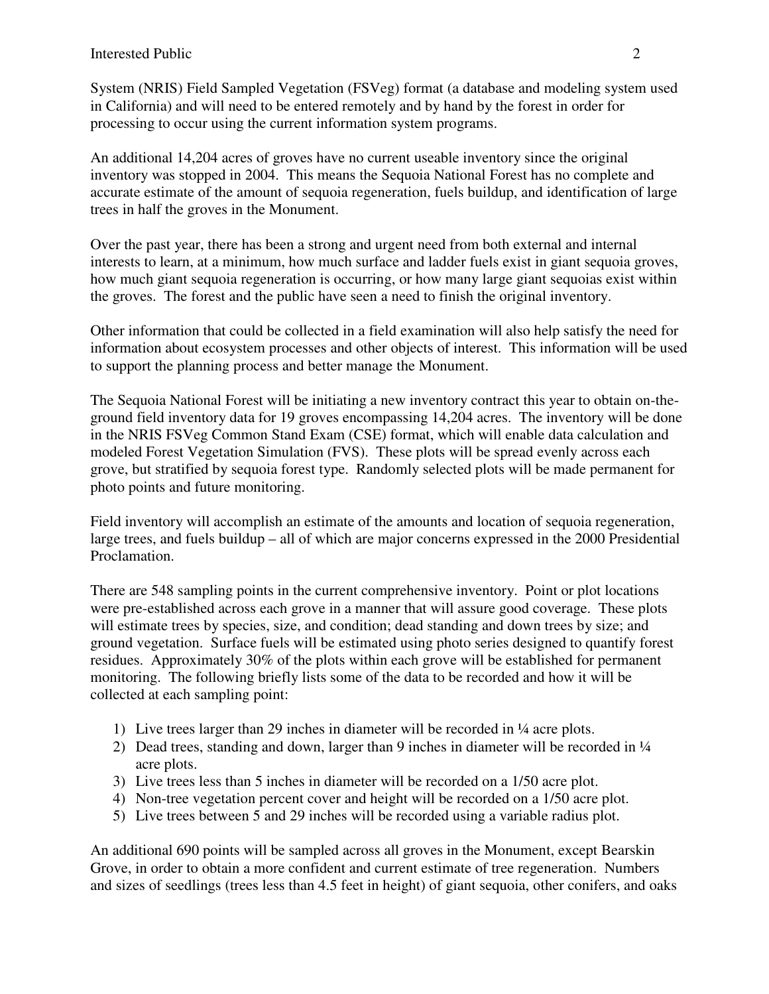System (NRIS) Field Sampled Vegetation (FSVeg) format (a database and modeling system used in California) and will need to be entered remotely and by hand by the forest in order for processing to occur using the current information system programs.

An additional 14,204 acres of groves have no current useable inventory since the original inventory was stopped in 2004. This means the Sequoia National Forest has no complete and accurate estimate of the amount of sequoia regeneration, fuels buildup, and identification of large trees in half the groves in the Monument.

Over the past year, there has been a strong and urgent need from both external and internal interests to learn, at a minimum, how much surface and ladder fuels exist in giant sequoia groves, how much giant sequoia regeneration is occurring, or how many large giant sequoias exist within the groves. The forest and the public have seen a need to finish the original inventory.

Other information that could be collected in a field examination will also help satisfy the need for information about ecosystem processes and other objects of interest. This information will be used to support the planning process and better manage the Monument.

The Sequoia National Forest will be initiating a new inventory contract this year to obtain on-theground field inventory data for 19 groves encompassing 14,204 acres. The inventory will be done in the NRIS FSVeg Common Stand Exam (CSE) format, which will enable data calculation and modeled Forest Vegetation Simulation (FVS). These plots will be spread evenly across each grove, but stratified by sequoia forest type. Randomly selected plots will be made permanent for photo points and future monitoring.

Field inventory will accomplish an estimate of the amounts and location of sequoia regeneration, large trees, and fuels buildup – all of which are major concerns expressed in the 2000 Presidential Proclamation.

There are 548 sampling points in the current comprehensive inventory. Point or plot locations were pre-established across each grove in a manner that will assure good coverage. These plots will estimate trees by species, size, and condition; dead standing and down trees by size; and ground vegetation. Surface fuels will be estimated using photo series designed to quantify forest residues. Approximately 30% of the plots within each grove will be established for permanent monitoring. The following briefly lists some of the data to be recorded and how it will be collected at each sampling point:

- 1) Live trees larger than 29 inches in diameter will be recorded in ¼ acre plots.
- 2) Dead trees, standing and down, larger than 9 inches in diameter will be recorded in  $\frac{1}{4}$ acre plots.
- 3) Live trees less than 5 inches in diameter will be recorded on a 1/50 acre plot.
- 4) Non-tree vegetation percent cover and height will be recorded on a 1/50 acre plot.
- 5) Live trees between 5 and 29 inches will be recorded using a variable radius plot.

An additional 690 points will be sampled across all groves in the Monument, except Bearskin Grove, in order to obtain a more confident and current estimate of tree regeneration. Numbers and sizes of seedlings (trees less than 4.5 feet in height) of giant sequoia, other conifers, and oaks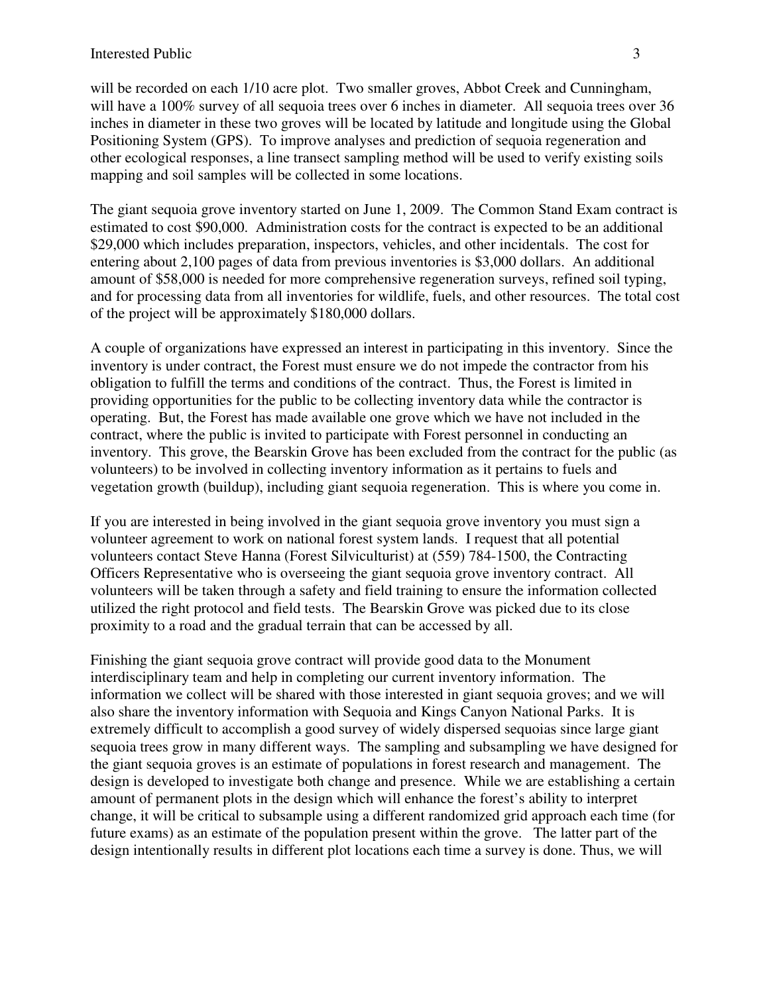will be recorded on each  $1/10$  acre plot. Two smaller groves, Abbot Creek and Cunningham, will have a 100% survey of all sequoia trees over 6 inches in diameter. All sequoia trees over 36 inches in diameter in these two groves will be located by latitude and longitude using the Global Positioning System (GPS). To improve analyses and prediction of sequoia regeneration and other ecological responses, a line transect sampling method will be used to verify existing soils mapping and soil samples will be collected in some locations.

The giant sequoia grove inventory started on June 1, 2009. The Common Stand Exam contract is estimated to cost \$90,000. Administration costs for the contract is expected to be an additional \$29,000 which includes preparation, inspectors, vehicles, and other incidentals. The cost for entering about 2,100 pages of data from previous inventories is \$3,000 dollars. An additional amount of \$58,000 is needed for more comprehensive regeneration surveys, refined soil typing, and for processing data from all inventories for wildlife, fuels, and other resources. The total cost of the project will be approximately \$180,000 dollars.

A couple of organizations have expressed an interest in participating in this inventory. Since the inventory is under contract, the Forest must ensure we do not impede the contractor from his obligation to fulfill the terms and conditions of the contract. Thus, the Forest is limited in providing opportunities for the public to be collecting inventory data while the contractor is operating. But, the Forest has made available one grove which we have not included in the contract, where the public is invited to participate with Forest personnel in conducting an inventory. This grove, the Bearskin Grove has been excluded from the contract for the public (as volunteers) to be involved in collecting inventory information as it pertains to fuels and vegetation growth (buildup), including giant sequoia regeneration. This is where you come in.

If you are interested in being involved in the giant sequoia grove inventory you must sign a volunteer agreement to work on national forest system lands. I request that all potential volunteers contact Steve Hanna (Forest Silviculturist) at (559) 784-1500, the Contracting Officers Representative who is overseeing the giant sequoia grove inventory contract. All volunteers will be taken through a safety and field training to ensure the information collected utilized the right protocol and field tests. The Bearskin Grove was picked due to its close proximity to a road and the gradual terrain that can be accessed by all.

Finishing the giant sequoia grove contract will provide good data to the Monument interdisciplinary team and help in completing our current inventory information. The information we collect will be shared with those interested in giant sequoia groves; and we will also share the inventory information with Sequoia and Kings Canyon National Parks. It is extremely difficult to accomplish a good survey of widely dispersed sequoias since large giant sequoia trees grow in many different ways. The sampling and subsampling we have designed for the giant sequoia groves is an estimate of populations in forest research and management. The design is developed to investigate both change and presence. While we are establishing a certain amount of permanent plots in the design which will enhance the forest's ability to interpret change, it will be critical to subsample using a different randomized grid approach each time (for future exams) as an estimate of the population present within the grove. The latter part of the design intentionally results in different plot locations each time a survey is done. Thus, we will